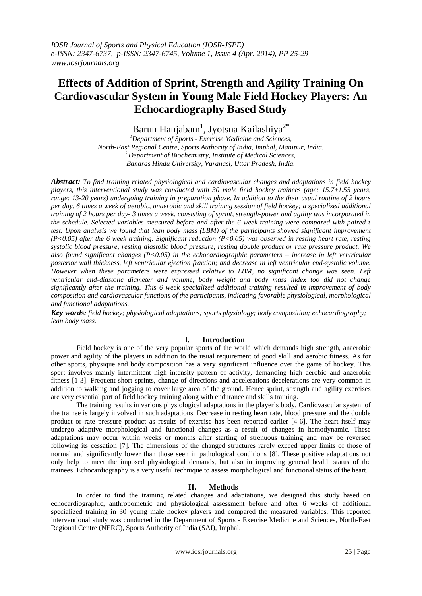# **Effects of Addition of Sprint, Strength and Agility Training On Cardiovascular System in Young Male Field Hockey Players: An Echocardiography Based Study**

Barun Hanjabam<sup>1</sup>, Jyotsna Kailashiya<sup>2\*</sup>

*<sup>1</sup>Department of Sports - Exercise Medicine and Sciences, North-East Regional Centre, Sports Authority of India, Imphal, Manipur, India. <sup>2</sup>Department of Biochemistry, Institute of Medical Sciences, Banaras Hindu University, Varanasi, Uttar Pradesh, India.*

*Abstract: To find training related physiological and cardiovascular changes and adaptations in field hockey players, this interventional study was conducted with 30 male field hockey trainees (age: 15.7±1.55 years, range: 13-20 years) undergoing training in preparation phase. In addition to the their usual routine of 2 hours per day, 6 times a week of aerobic, anaerobic and skill training session of field hockey; a specialized additional training of 2 hours per day- 3 times a week, consisting of sprint, strength-power and agility was incorporated in the schedule. Selected variables measured before and after the 6 week training were compared with paired t test. Upon analysis we found that lean body mass (LBM) of the participants showed significant improvement (P<0.05) after the 6 week training. Significant reduction (P<0.05) was observed in resting heart rate, resting systolic blood pressure, resting diastolic blood pressure, resting double product or rate pressure product. We also found significant changes (P<0.05) in the echocardiographic parameters – increase in left ventricular posterior wall thickness, left ventricular ejection fraction; and decrease in left ventricular end-systolic volume. However when these parameters were expressed relative to LBM, no significant change was seen. Left ventricular end-diastolic diameter and volume, body weight and body mass index too did not change significantly after the training. This 6 week specialized additional training resulted in improvement of body composition and cardiovascular functions of the participants, indicating favorable physiological, morphological and functional adaptations.*

*Key words: field hockey; physiological adaptations; sports physiology; body composition; echocardiography; lean body mass.*

## I. **Introduction**

Field hockey is one of the very popular sports of the world which demands high strength, anaerobic power and agility of the players in addition to the usual requirement of good skill and aerobic fitness. As for other sports, physique and body composition has a very significant influence over the game of hockey. This sport involves mainly intermittent high intensity pattern of activity, demanding high aerobic and anaerobic fitness [1-3]. Frequent short sprints, change of directions and accelerations-decelerations are very common in addition to walking and jogging to cover large area of the ground. Hence sprint, strength and agility exercises are very essential part of field hockey training along with endurance and skills training.

The training results in various physiological adaptations in the player's body. Cardiovascular system of the trainee is largely involved in such adaptations. Decrease in resting heart rate, blood pressure and the double product or rate pressure product as results of exercise has been reported earlier [4-6]. The heart itself may undergo adaptive morphological and functional changes as a result of changes in hemodynamic. These adaptations may occur within weeks or months after starting of strenuous training and may be reversed following its cessation [7]. The dimensions of the changed structures rarely exceed upper limits of those of normal and significantly lower than those seen in pathological conditions [8]. These positive adaptations not only help to meet the imposed physiological demands, but also in improving general health status of the trainees. Echocardiography is a very useful technique to assess morphological and functional status of the heart.

### **II. Methods**

In order to find the training related changes and adaptations, we designed this study based on echocardiographic, anthropometric and physiological assessment before and after 6 weeks of additional specialized training in 30 young male hockey players and compared the measured variables. This reported interventional study was conducted in the Department of Sports - Exercise Medicine and Sciences, North-East Regional Centre (NERC), Sports Authority of India (SAI), Imphal.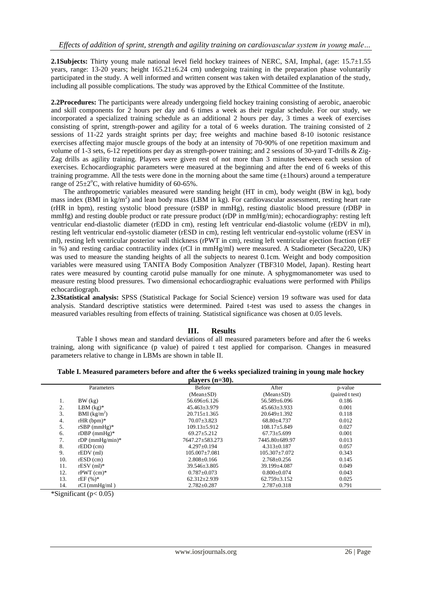**2.1Subjects:** Thirty young male national level field hockey trainees of NERC, SAI, Imphal, (age: 15.7±1.55 years, range: 13-20 years; height 165.21±6.24 cm) undergoing training in the preparation phase voluntarily participated in the study. A well informed and written consent was taken with detailed explanation of the study, including all possible complications. The study was approved by the Ethical Committee of the Institute.

**2.2Procedures:** The participants were already undergoing field hockey training consisting of aerobic, anaerobic and skill components for 2 hours per day and 6 times a week as their regular schedule. For our study, we incorporated a specialized training schedule as an additional 2 hours per day, 3 times a week of exercises consisting of sprint, strength-power and agility for a total of 6 weeks duration. The training consisted of 2 sessions of 11-22 yards straight sprints per day; free weights and machine based 8-10 isotonic resistance exercises affecting major muscle groups of the body at an intensity of 70-90% of one repetition maximum and volume of 1-3 sets, 6-12 repetitions per day as strength-power training; and 2 sessions of 30-yard T-drills & Zig-Zag drills as agility training. Players were given rest of not more than 3 minutes between each session of exercises. Echocardiographic parameters were measured at the beginning and after the end of 6 weeks of this training programme. All the tests were done in the morning about the same time  $(\pm 1$ hours) around a temperature range of  $25\pm2$ °C, with relative humidity of 60-65%.

The anthropometric variables measured were standing height (HT in cm), body weight (BW in kg), body mass index (BMI in kg/m<sup>2</sup>) and lean body mass (LBM in kg). For cardiovascular assessment, resting heart rate (rHR in bpm), resting systolic blood pressure (rSBP in mmHg), resting diastolic blood pressure (rDBP in mmHg) and resting double product or rate pressure product (rDP in mmHg/min); echocardiography: resting left ventricular end-diastolic diameter (rEDD in cm), resting left ventricular end-diastolic volume (rEDV in ml), resting left ventricular end-systolic diameter (rESD in cm), resting left ventricular end-systolic volume (rESV in ml), resting left ventricular posterior wall thickness (rPWT in cm), resting left ventricular ejection fraction (rEF in %) and resting cardiac contractility index (rCI in mmHg/ml) were measured. A Stadiometer (Seca220, UK) was used to measure the standing heights of all the subjects to nearest 0.1cm. Weight and body composition variables were measured using TANITA Body Composition Analyzer (TBF310 Model, Japan). Resting heart rates were measured by counting carotid pulse manually for one minute. A sphygmomanometer was used to measure resting blood pressures. Two dimensional echocardiographic evaluations were performed with Philips echocardiograph.

**2.3Statistical analysis:** SPSS (Statistical Package for Social Science) version 19 software was used for data analysis. Standard descriptive statistics were determined. Paired t-test was used to assess the changes in measured variables resulting from effects of training. Statistical significance was chosen at 0.05 levels.

### **III. Results**

Table I shows mean and standard deviations of all measured parameters before and after the 6 weeks training, along with significance (p value) of paired t test applied for comparison. Changes in measured parameters relative to change in LBMs are shown in table II.

| Table I. Measured parameters before and after the 6 weeks specialized training in young male hockey |  |  |  |  |
|-----------------------------------------------------------------------------------------------------|--|--|--|--|
|                                                                                                     |  |  |  |  |

| players $(n=30)$ . |                          |                     |                     |                 |  |  |
|--------------------|--------------------------|---------------------|---------------------|-----------------|--|--|
|                    | Parameters               | <b>Before</b>       | After               | p-value         |  |  |
|                    |                          | $(Mean \pm SD)$     | $(Mean \pm SD)$     | (paired t test) |  |  |
| 1.                 | BW (kg)                  | $56.696 \pm 6.126$  | 56.589±6.096        | 0.186           |  |  |
| 2.                 | $LBM$ (kg)*              | $45.463 \pm 3.979$  | $45.663 \pm 3.933$  | 0.001           |  |  |
| 3.                 | BMI (kg/m <sup>2</sup> ) | $20.715 \pm 1.365$  | $20.649 \pm 1.392$  | 0.118           |  |  |
| 4.                 | $rHR (bpm)^*$            | $70.07 \pm 3.823$   | $68.80 + 4.737$     | 0.012           |  |  |
| 5.                 | rSBP $(mmHg)*$           | $109.13 \pm 5.912$  | $108.17 \pm 5.849$  | 0.027           |  |  |
| 6.                 | $rDBP$ (mmHg)*           | $69.27 \pm 5.212$   | $67.73 \pm 5.699$   | 0.001           |  |  |
| 7.                 | rDP $(mmHg/min)*$        | 7647.27±583.273     | 7445.80±689.97      | 0.013           |  |  |
| 8.                 | $rEDD$ (cm)              | $4.297 \pm 0.194$   | $4.313 \pm 0.187$   | 0.057           |  |  |
| 9.                 | $rEDV$ (ml)              | $105.007 \pm 7.081$ | $105.307 \pm 7.072$ | 0.343           |  |  |
| 10.                | $rESD$ (cm)              | $2.808 \pm 0.166$   | $2.768 \pm 0.256$   | 0.145           |  |  |
| 11.                | $rESV$ (ml)*             | $39.546 \pm 3.805$  | 39.199±4.087        | 0.049           |  |  |
| 12.                | $rPWT$ (cm)*             | $0.787 \pm 0.073$   | $0.800 \pm 0.074$   | 0.043           |  |  |
| 13.                | $rEF(%)^*$               | $62.312 \pm 2.939$  | $62.759 \pm 3.152$  | 0.025           |  |  |
| 14.                | $rCI$ (mmHg/ml)          | $2.782 \pm 0.287$   | $2.787 \pm 0.318$   | 0.791           |  |  |

 $*\text{Significant}$  (p< 0.05)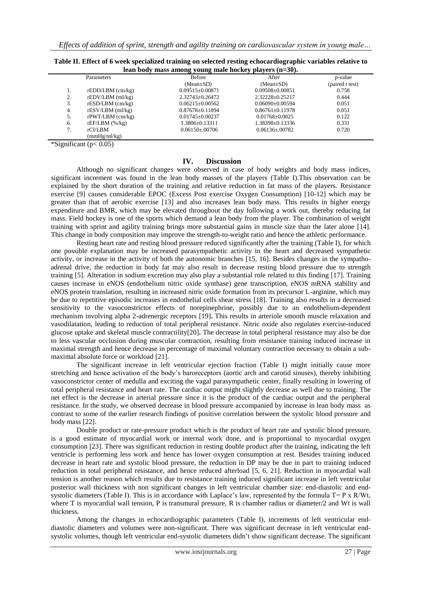| lean body mass among young male hockey players (n=30). |                       |                       |                       |                 |  |  |
|--------------------------------------------------------|-----------------------|-----------------------|-----------------------|-----------------|--|--|
| Parameters                                             |                       | <b>Before</b>         | After                 | p-value         |  |  |
|                                                        |                       | $(Mean \pm SD)$       | $(Mean \pm SD)$       | (paired t test) |  |  |
| 1.                                                     | $rEDD/LBM$ (cm/kg)    | $0.09515 \pm 0.00871$ | $0.09508 \pm 0.00851$ | 0.758           |  |  |
| 2.                                                     | $rEDV/LBM$ (ml/kg)    | $2.32743 \pm 0.26472$ | 2.32228±0.25217       | 0.444           |  |  |
| 3.                                                     | $rESD/LBM$ (cm/kg)    | $0.06215 + 0.00562$   | $0.06090 + 0.00594$   | 0.051           |  |  |
| 4.                                                     | $rESV/LBM$ (ml/kg)    | $0.87678 \pm 0.11894$ | $0.86761 + 0.11978$   | 0.051           |  |  |
| 5.                                                     | $r$ PWT/LBM $(cm/kg)$ | $0.01745 \pm 0.00237$ | $0.01768 \pm 0.0025$  | 0.122           |  |  |
| 6.                                                     | $rEF/LBM$ (%/kg)      | 1.3806±0.13311        | 1.38398±0.13336       | 0.331           |  |  |
| 7.                                                     | rCI/LBM               | $0.06150 \pm 0.00706$ | $0.06136 \pm 0.00782$ | 0.720           |  |  |
|                                                        | (mmHg/ml/kg)          |                       |                       |                 |  |  |

**Table II. Effect of 6 week specialized training on selected resting echocardiographic variables relative to** 

\*Significant ( $p < 0.05$ )

#### **IV. Discussion**

Although no significant changes were observed in case of body weights and body mass indices, significant increment was found in the lean body masses of the players (Table I).This observation can be explained by the short duration of the training and relative reduction in fat mass of the players. Resistance exercise [9] causes considerable EPOC (Excess Post exercise Oxygen Consumption) [10-12] which may be greater than that of aerobic exercise [13] and also increases lean body mass. This results in higher energy expenditure and BMR, which may be elevated throughout the day following a work out, thereby reducing fat mass. Field hockey is one of the sports which demand a lean body from the player. The combination of weight training with sprint and agility training brings more substantial gains in muscle size than the later alone [14]. This change in body composition may improve the strength-to-weight ratio and hence the athletic performance.

Resting heart rate and resting blood pressure reduced significantly after the training (Table I), for which one possible explanation may be increased parasympathetic activity in the heart and decreased sympathetic activity, or increase in the activity of both the autonomic branches [15, 16]. Besides changes in the sympathoadrenal drive, the reduction in body fat may also result in decrease resting blood pressure due to strength training [5]. Alteration in sodium excretion may also play a substantial role related to this finding [17]. Training causes increase in eNOS (endothelium nitric oxide synthase) gene transcription, eNOS mRNA stability and eNOS protein translation, resulting in increased nitric oxide formation from its precursor L-arginine, which may be due to repetitive episodic increases in endothelial cells shear stress [18]. Training also results in a decreased sensitivity to the vasoconstrictor effects of norepinephrine, possibly due to an endothelium-dependent mechanism involving alpha 2-adrenergic receptors [19]**.** This results in arteriole smooth muscle relaxation and vasodilatation, leading to reduction of total peripheral resistance. Nitric oxide also regulates exercise-induced glucose uptake and skeletal muscle contractility[20]**.** The decrease in total peripheral resistance may also be due to less vascular occlusion during muscular contraction, resulting from resistance training induced increase in maximal strength and hence decrease in percentage of maximal voluntary contraction necessary to obtain a submaximal absolute force or workload [21].

The significant increase in left ventricular ejection fraction (Table I) might initially cause more stretching and hence activation of the body's baroreceptors (aortic arch and carotid sinuses), thereby inhibiting vasoconstrictor center of medulla and exciting the vagal parasympathetic center, finally resulting in lowering of total peripheral resistance and heart rate. The cardiac output might slightly decrease as well due to training. The net effect is the decrease in arterial pressure since it is the product of the cardiac output and the peripheral resistance. In the study, we observed decrease in blood pressure accompanied by increase in lean body mass as contrast to some of the earlier research findings of positive correlation between the systolic blood pressure and body mass [22].

Double product or rate-pressure product which is the product of heart rate and systolic blood pressure, is a good estimate of myocardial work or internal work done, and is proportional to myocardial oxygen consumption [23]. There was significant reduction in resting double product after the training, indicating the left ventricle is performing less work and hence has lower oxygen consumption at rest. Besides training induced decrease in heart rate and systolic blood pressure, the reduction in DP may be due in part to training induced reduction in total peripheral resistance, and hence reduced afterload [5, 6, 21]. Reduction in myocardial wall tension is another reason which results due to resistance training induced significant increase in left ventricular posterior wall thickness with non significant changes in left ventricular chamber size: end-diastolic and endsystolic diameters (Table I). This is in accordance with Laplace's law, represented by the formula T= P x R/Wt, where T is myocardial wall tension, P is transmural pressure, R is chamber radius or diameter/2 and Wt is wall thickness.

Among the changes in echocardiographic parameters (Table I), increments of left ventricular enddiastolic diameters and volumes were non-significant. There was significant decrease in left ventricular endsystolic volumes, though left ventricular end-systolic diameters didn't show significant decrease. The significant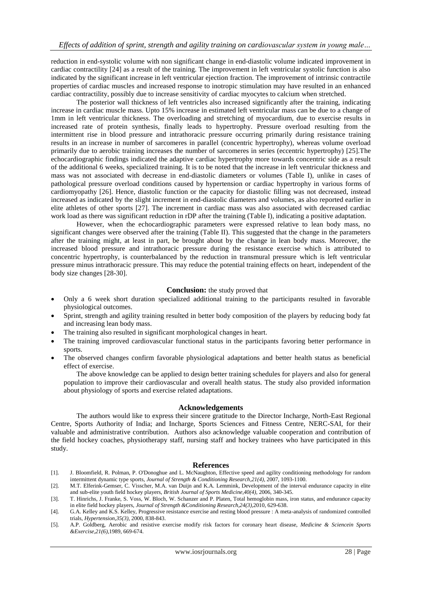reduction in end-systolic volume with non significant change in end-diastolic volume indicated improvement in cardiac contractility [24] as a result of the training. The improvement in left ventricular systolic function is also indicated by the significant increase in left ventricular ejection fraction. The improvement of intrinsic contractile properties of cardiac muscles and increased response to inotropic stimulation may have resulted in an enhanced cardiac contractility, possibly due to increase sensitivity of cardiac myocytes to calcium when stretched.

The posterior wall thickness of left ventricles also increased significantly after the training, indicating increase in cardiac muscle mass. Upto 15% increase in estimated left ventricular mass can be due to a change of 1mm in left ventricular thickness. The overloading and stretching of myocardium, due to exercise results in increased rate of protein synthesis, finally leads to hypertrophy. Pressure overload resulting from the intermittent rise in blood pressure and intrathoracic pressure occurring primarily during resistance training results in an increase in number of sarcomeres in parallel (concentric hypertrophy), whereas volume overload primarily due to aerobic training increases the number of sarcomeres in series (eccentric hypertrophy) [25].The echocardiographic findings indicated the adaptive cardiac hypertrophy more towards concentric side as a result of the additional 6 weeks, specialized training. It is to be noted that the increase in left ventricular thickness and mass was not associated with decrease in end-diastolic diameters or volumes (Table I), unlike in cases of pathological pressure overload conditions caused by hypertension or cardiac hypertrophy in various forms of cardiomyopathy [26]. Hence, diastolic function or the capacity for diastolic filling was not decreased, instead increased as indicated by the slight increment in end-diastolic diameters and volumes, as also reported earlier in elite athletes of other sports [27]. The increment in cardiac mass was also associated with decreased cardiac work load as there was significant reduction in rDP after the training (Table I), indicating a positive adaptation.

However, when the echocardiographic parameters were expressed relative to lean body mass, no significant changes were observed after the training (Table II). This suggested that the change in the parameters after the training might, at least in part, be brought about by the change in lean body mass. Moreover, the increased blood pressure and intrathoracic pressure during the resistance exercise which is attributed to concentric hypertrophy, is counterbalanced by the reduction in transmural pressure which is left ventricular pressure minus intrathoracic pressure. This may reduce the potential training effects on heart, independent of the body size changes [28-30].

#### **Conclusion:** the study proved that

- Only a 6 week short duration specialized additional training to the participants resulted in favorable physiological outcomes.
- Sprint, strength and agility training resulted in better body composition of the players by reducing body fat and increasing lean body mass.
- The training also resulted in significant morphological changes in heart.
- The training improved cardiovascular functional status in the participants favoring better performance in sports.
- The observed changes confirm favorable physiological adaptations and better health status as beneficial effect of exercise.

The above knowledge can be applied to design better training schedules for players and also for general population to improve their cardiovascular and overall health status. The study also provided information about physiology of sports and exercise related adaptations.

#### **Acknowledgements**

The authors would like to express their sincere gratitude to the Director Incharge, North-East Regional Centre, Sports Authority of India; and Incharge, Sports Sciences and Fitness Centre, NERC-SAI, for their valuable and administrative contribution. Authors also acknowledge valuable cooperation and contribution of the field hockey coaches, physiotherapy staff, nursing staff and hockey trainees who have participated in this study.

#### **References**

- [1]. J. Bloomfield, R. Polman, P. O'Donoghue and L. McNaughton, Effective speed and agility conditioning methodology for random intermittent dynamic type sports, *Journal of Strength & Conditioning Research,21(4)*, 2007, 1093-1100.
- [2]. M.T. Elferink-Gemser, C. Visscher, M.A. van Duijn and K.A. Lemmink, Development of the interval endurance capacity in elite and sub-elite youth field hockey players, *British Journal of Sports Medicine,40(4)*, 2006, 340-345.
- [3]. T. Hinrichs, J. Franke, S. Voss, W. Bloch, W. Schanzer and P. Platen, Total hemoglobin mass, iron status, and endurance capacity in elite field hockey players, *Journal of Strength &Conditioning Research,24(3)*,2010, 629-638.
- [4]. G.A. Kelley and K.S. Kelley, Progressive resistance exercise and resting blood pressure : A meta-analysis of randomized controlled trials, *Hypertension,35(3)*, 2000, 838-843.
- [5]. A.P. Goldberg, Aerobic and resistive exercise modify risk factors for coronary heart disease, *Medicine & Sciencein Sports &Exercise,21(6)*,1989, 669-674.